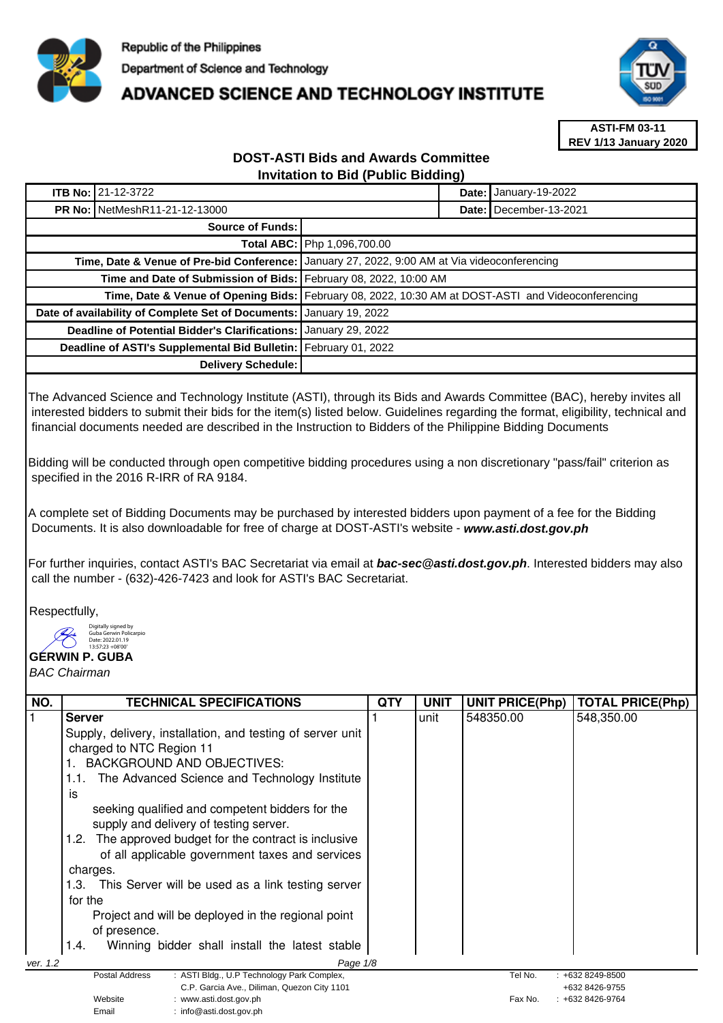

## **ADVANCED SCIENCE AND TECHNOLOGY INSTITUTE**



**ASTI-FM 03-11 REV 1/13 January 2020**

## **DOST-ASTI Bids and Awards Committee Invitation to Bid (Public Bidding)**

|                                                                     | <b>ITB No: 21-12-3722</b> |                                                                                                    | Date: I | January-19-2022          |
|---------------------------------------------------------------------|---------------------------|----------------------------------------------------------------------------------------------------|---------|--------------------------|
| <b>PR No: NetMeshR11-21-12-13000</b>                                |                           |                                                                                                    |         | Date: I December-13-2021 |
| Source of Funds:                                                    |                           |                                                                                                    |         |                          |
|                                                                     |                           | Total ABC: Php 1,096,700.00                                                                        |         |                          |
|                                                                     |                           | Time, Date & Venue of Pre-bid Conference:   January 27, 2022, 9:00 AM at Via videoconferencing     |         |                          |
| Time and Date of Submission of Bids: February 08, 2022, 10:00 AM    |                           |                                                                                                    |         |                          |
|                                                                     |                           | Time, Date & Venue of Opening Bids: February 08, 2022, 10:30 AM at DOST-ASTI and Videoconferencing |         |                          |
| Date of availability of Complete Set of Documents: January 19, 2022 |                           |                                                                                                    |         |                          |
| Deadline of Potential Bidder's Clarifications: January 29, 2022     |                           |                                                                                                    |         |                          |
| Deadline of ASTI's Supplemental Bid Bulletin: February 01, 2022     |                           |                                                                                                    |         |                          |
|                                                                     | Delivery Schedule:        |                                                                                                    |         |                          |

The Advanced Science and Technology Institute (ASTI), through its Bids and Awards Committee (BAC), hereby invites all interested bidders to submit their bids for the item(s) listed below. Guidelines regarding the format, eligibility, technical and financial documents needed are described in the Instruction to Bidders of the Philippine Bidding Documents

Bidding will be conducted through open competitive bidding procedures using a non discretionary "pass/fail" criterion as specified in the 2016 R-IRR of RA 9184.

A complete set of Bidding Documents may be purchased by interested bidders upon payment of a fee for the Bidding Documents. It is also downloadable for free of charge at DOST-ASTI's website - **www.asti.dost.gov.ph**

For further inquiries, contact ASTI's BAC Secretariat via email at **bac-sec@asti.dost.gov.ph**. Interested bidders may also call the number - (632)-426-7423 and look for ASTI's BAC Secretariat.

Respectfully,

Digitally signed by Guba Gerwin Policarpio

Email : info@asti.dost.gov.ph

**GERWIN P. GUBA**  Date: 2022.01.19 13:57:23 +08'00'

BAC Chairman

| NO.      | <b>TECHNICAL SPECIFICATIONS</b>                                                | QTY | <b>UNIT</b> | <b>UNIT PRICE(Php)</b> | TOTAL PRICE(Php)                 |
|----------|--------------------------------------------------------------------------------|-----|-------------|------------------------|----------------------------------|
|          | <b>Server</b>                                                                  |     | unit        | 548350.00              | 548,350.00                       |
|          | Supply, delivery, installation, and testing of server unit                     |     |             |                        |                                  |
|          | charged to NTC Region 11                                                       |     |             |                        |                                  |
|          | BACKGROUND AND OBJECTIVES:                                                     |     |             |                        |                                  |
|          | The Advanced Science and Technology Institute<br>1.1.                          |     |             |                        |                                  |
|          | İS                                                                             |     |             |                        |                                  |
|          | seeking qualified and competent bidders for the                                |     |             |                        |                                  |
|          | supply and delivery of testing server.                                         |     |             |                        |                                  |
|          | The approved budget for the contract is inclusive<br>1.2.                      |     |             |                        |                                  |
|          | of all applicable government taxes and services                                |     |             |                        |                                  |
|          | charges.                                                                       |     |             |                        |                                  |
|          | 1.3. This Server will be used as a link testing server                         |     |             |                        |                                  |
|          | for the                                                                        |     |             |                        |                                  |
|          | Project and will be deployed in the regional point                             |     |             |                        |                                  |
|          | of presence.                                                                   |     |             |                        |                                  |
|          | Winning bidder shall install the latest stable<br>1.4.                         |     |             |                        |                                  |
| ver. 1.2 | Page 1/8                                                                       |     |             |                        |                                  |
|          | : ASTI Bldg., U.P Technology Park Complex,<br><b>Postal Address</b>            |     |             | Tel No.                | $: +6328249 - 8500$              |
|          | C.P. Garcia Ave., Diliman, Quezon City 1101<br>Website<br>www.asti.dost.gov.ph |     |             | Fax No.                | +632 8426-9755<br>+632 8426-9764 |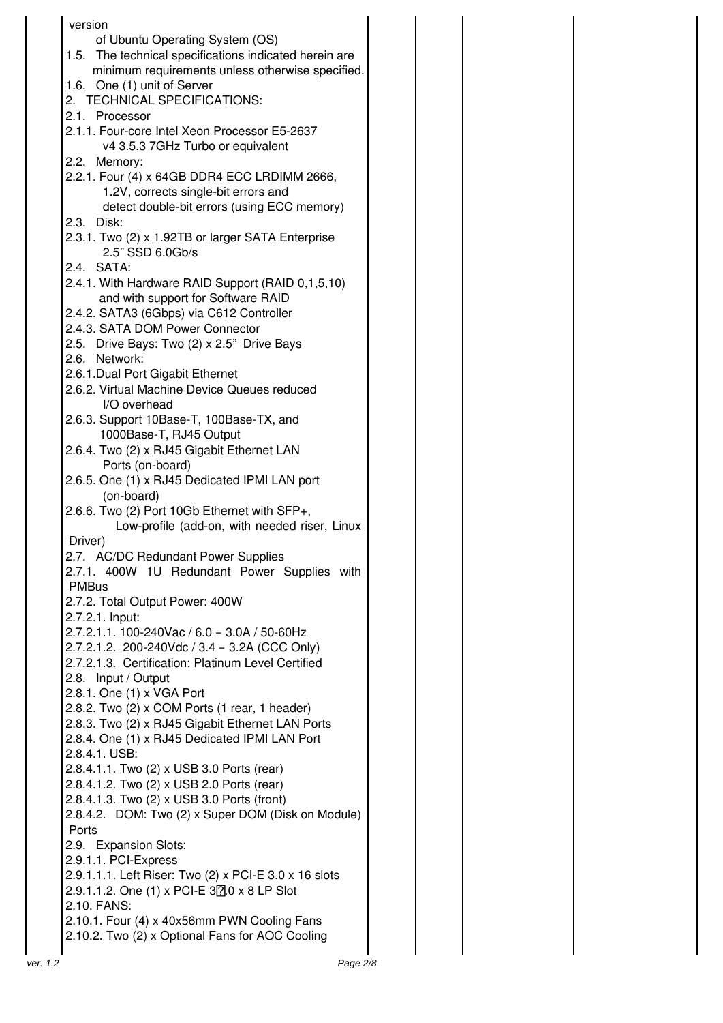|          | version                                                |  |  |
|----------|--------------------------------------------------------|--|--|
|          | of Ubuntu Operating System (OS)                        |  |  |
|          |                                                        |  |  |
|          | 1.5. The technical specifications indicated herein are |  |  |
|          | minimum requirements unless otherwise specified.       |  |  |
|          | 1.6. One (1) unit of Server                            |  |  |
|          | 2. TECHNICAL SPECIFICATIONS:                           |  |  |
|          | 2.1. Processor                                         |  |  |
|          | 2.1.1. Four-core Intel Xeon Processor E5-2637          |  |  |
|          | v4 3.5.3 7GHz Turbo or equivalent                      |  |  |
|          | 2.2. Memory:                                           |  |  |
|          | 2.2.1. Four (4) x 64GB DDR4 ECC LRDIMM 2666,           |  |  |
|          | 1.2V, corrects single-bit errors and                   |  |  |
|          | detect double-bit errors (using ECC memory)            |  |  |
|          | 2.3. Disk:                                             |  |  |
|          | 2.3.1. Two (2) x 1.92TB or larger SATA Enterprise      |  |  |
|          | 2.5" SSD 6.0Gb/s                                       |  |  |
|          | 2.4. SATA:                                             |  |  |
|          | 2.4.1. With Hardware RAID Support (RAID 0,1,5,10)      |  |  |
|          | and with support for Software RAID                     |  |  |
|          | 2.4.2. SATA3 (6Gbps) via C612 Controller               |  |  |
|          | 2.4.3. SATA DOM Power Connector                        |  |  |
|          | 2.5. Drive Bays: Two (2) x 2.5" Drive Bays             |  |  |
|          | 2.6. Network:                                          |  |  |
|          | 2.6.1. Dual Port Gigabit Ethernet                      |  |  |
|          | 2.6.2. Virtual Machine Device Queues reduced           |  |  |
|          |                                                        |  |  |
|          | I/O overhead                                           |  |  |
|          | 2.6.3. Support 10Base-T, 100Base-TX, and               |  |  |
|          | 1000Base-T, RJ45 Output                                |  |  |
|          | 2.6.4. Two (2) x RJ45 Gigabit Ethernet LAN             |  |  |
|          | Ports (on-board)                                       |  |  |
|          | 2.6.5. One (1) x RJ45 Dedicated IPMI LAN port          |  |  |
|          | (on-board)                                             |  |  |
|          | 2.6.6. Two (2) Port 10Gb Ethernet with SFP+,           |  |  |
|          | Low-profile (add-on, with needed riser, Linux          |  |  |
|          | Driver)                                                |  |  |
|          | 2.7. AC/DC Redundant Power Supplies                    |  |  |
|          | 2.7.1. 400W 1U Redundant Power Supplies with           |  |  |
|          | <b>PMBus</b>                                           |  |  |
|          | 2.7.2. Total Output Power: 400W                        |  |  |
|          | 2.7.2.1. Input:                                        |  |  |
|          | 2.7.2.1.1. 100-240Vac / 6.0 - 3.0A / 50-60Hz           |  |  |
|          | 2.7.2.1.2. 200-240Vdc / 3.4 - 3.2A (CCC Only)          |  |  |
|          | 2.7.2.1.3. Certification: Platinum Level Certified     |  |  |
|          | 2.8. Input / Output                                    |  |  |
|          | 2.8.1. One (1) x VGA Port                              |  |  |
|          | 2.8.2. Two (2) x COM Ports (1 rear, 1 header)          |  |  |
|          | 2.8.3. Two (2) x RJ45 Gigabit Ethernet LAN Ports       |  |  |
|          | 2.8.4. One (1) x RJ45 Dedicated IPMI LAN Port          |  |  |
|          | 2.8.4.1. USB:                                          |  |  |
|          | 2.8.4.1.1. Two (2) x USB 3.0 Ports (rear)              |  |  |
|          | 2.8.4.1.2. Two (2) x USB 2.0 Ports (rear)              |  |  |
|          |                                                        |  |  |
|          | 2.8.4.1.3. Two (2) x USB 3.0 Ports (front)             |  |  |
|          | 2.8.4.2. DOM: Two (2) x Super DOM (Disk on Module)     |  |  |
|          | Ports                                                  |  |  |
|          | 2.9. Expansion Slots:                                  |  |  |
|          | 2.9.1.1. PCI-Express                                   |  |  |
|          | 2.9.1.1.1. Left Riser: Two (2) x PCI-E 3.0 x 16 slots  |  |  |
|          | 2.9.1.1.2. One (1) x PCI-E 320 x 8 LP Slot             |  |  |
|          | 2.10. FANS:                                            |  |  |
|          | 2.10.1. Four (4) x 40x56mm PWN Cooling Fans            |  |  |
|          | 2.10.2. Two (2) x Optional Fans for AOC Cooling        |  |  |
|          |                                                        |  |  |
| ver. 1.2 | Page 2/8                                               |  |  |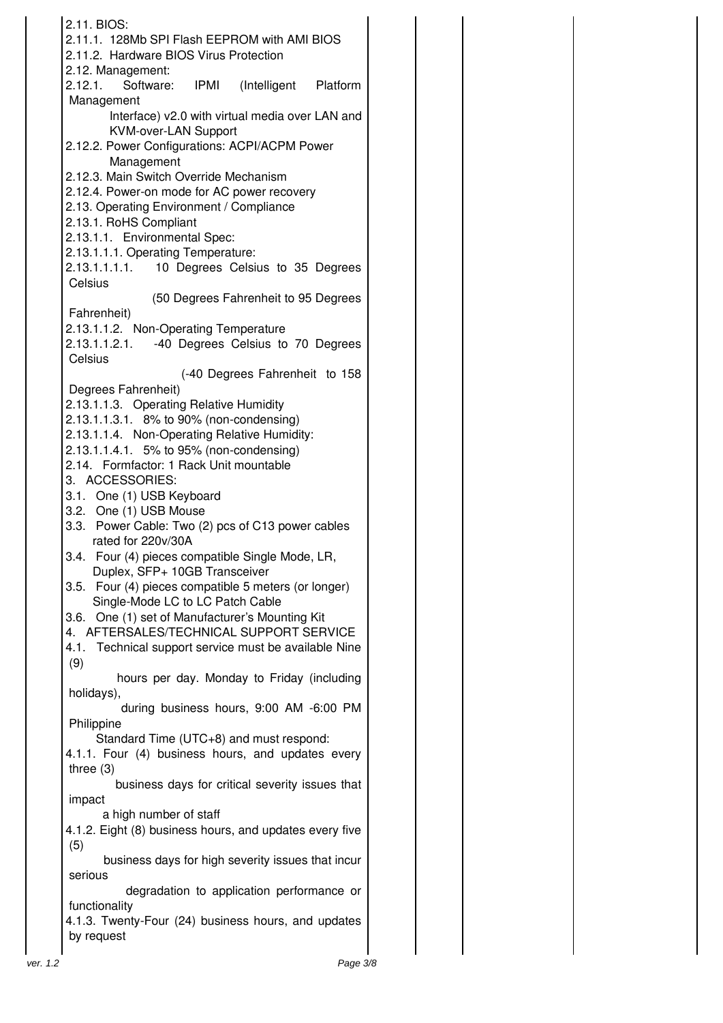|          | 2.11. BIOS:                                                                                  |
|----------|----------------------------------------------------------------------------------------------|
|          | 2.11.1. 128Mb SPI Flash EEPROM with AMI BIOS                                                 |
|          | 2.11.2. Hardware BIOS Virus Protection<br>2.12. Management:                                  |
|          | 2.12.1. Software: IPMI (Intelligent Platform                                                 |
|          | Management                                                                                   |
|          | Interface) v2.0 with virtual media over LAN and<br><b>KVM-over-LAN Support</b>               |
|          | 2.12.2. Power Configurations: ACPI/ACPM Power<br>Management                                  |
|          | 2.12.3. Main Switch Override Mechanism                                                       |
|          | 2.12.4. Power-on mode for AC power recovery                                                  |
|          | 2.13. Operating Environment / Compliance                                                     |
|          | 2.13.1. RoHS Compliant<br>2.13.1.1. Environmental Spec:                                      |
|          | 2.13.1.1.1. Operating Temperature:                                                           |
|          | 2.13.1.1.1.1. 10 Degrees Celsius to 35 Degrees                                               |
|          | Celsius                                                                                      |
|          | (50 Degrees Fahrenheit to 95 Degrees<br>Fahrenheit)                                          |
|          | 2.13.1.1.2. Non-Operating Temperature                                                        |
|          | 2.13.1.1.2.1. -40 Degrees Celsius to 70 Degrees                                              |
|          | Celsius                                                                                      |
|          | (-40 Degrees Fahrenheit to 158<br>Degrees Fahrenheit)                                        |
|          | 2.13.1.1.3. Operating Relative Humidity                                                      |
|          | 2.13.1.1.3.1. 8% to 90% (non-condensing)                                                     |
|          | 2.13.1.1.4. Non-Operating Relative Humidity:                                                 |
|          | 2.13.1.1.4.1. 5% to 95% (non-condensing)<br>2.14. Formfactor: 1 Rack Unit mountable          |
|          | 3. ACCESSORIES:                                                                              |
|          | 3.1. One (1) USB Keyboard                                                                    |
|          | 3.2. One (1) USB Mouse<br>3.3. Power Cable: Two (2) pcs of C13 power cables                  |
|          | rated for 220v/30A                                                                           |
|          | 3.4. Four (4) pieces compatible Single Mode, LR,                                             |
|          | Duplex, SFP+ 10GB Transceiver                                                                |
|          | Four (4) pieces compatible 5 meters (or longer)<br>3.5.<br>Single-Mode LC to LC Patch Cable  |
|          | 3.6. One (1) set of Manufacturer's Mounting Kit                                              |
|          | 4. AFTERSALES/TECHNICAL SUPPORT SERVICE                                                      |
|          | Technical support service must be available Nine<br>4.1.                                     |
|          | (9)<br>hours per day. Monday to Friday (including                                            |
|          | holidays),                                                                                   |
|          | during business hours, 9:00 AM -6:00 PM                                                      |
|          | Philippine                                                                                   |
|          | Standard Time (UTC+8) and must respond:<br>4.1.1. Four (4) business hours, and updates every |
|          | three $(3)$                                                                                  |
|          | business days for critical severity issues that                                              |
|          | impact                                                                                       |
|          | a high number of staff<br>4.1.2. Eight (8) business hours, and updates every five            |
|          | (5)                                                                                          |
|          | business days for high severity issues that incur<br>serious                                 |
|          | degradation to application performance or                                                    |
|          | functionality<br>4.1.3. Twenty-Four (24) business hours, and updates                         |
|          | by request                                                                                   |
| ver. 1.2 | Page 3/8                                                                                     |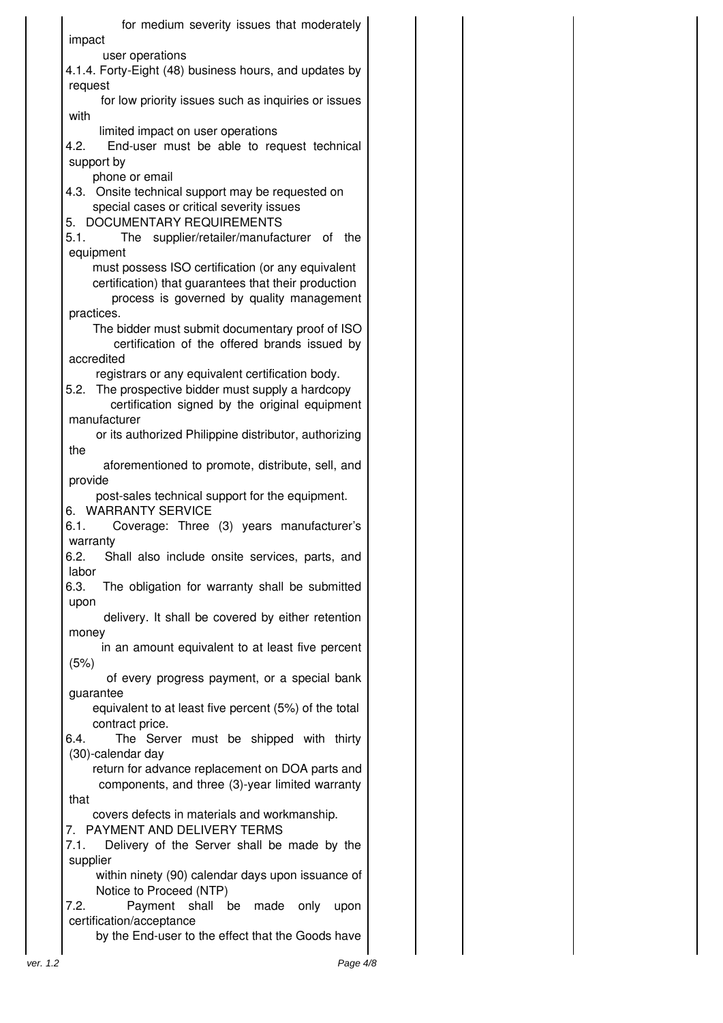for medium severity issues that moderately impact user operations 4.1.4. Forty-Eight (48) business hours, and updates by request for low priority issues such as inquiries or issues with limited impact on user operations 4.2. End-user must be able to request technical support by phone or email 4.3. Onsite technical support may be requested on special cases or critical severity issues 5. DOCUMENTARY REQUIREMENTS 5.1. The supplier/retailer/manufacturer of the equipment must possess ISO certification (or any equivalent certification) that guarantees that their production process is governed by quality management practices. The bidder must submit documentary proof of ISO certification of the offered brands issued by accredited registrars or any equivalent certification body. 5.2. The prospective bidder must supply a hardcopy certification signed by the original equipment manufacturer or its authorized Philippine distributor, authorizing the aforementioned to promote, distribute, sell, and provide post-sales technical support for the equipment. 6. WARRANTY SERVICE 6.1. Coverage: Three (3) years manufacturer's warranty 6.2. Shall also include onsite services, parts, and labor 6.3. The obligation for warranty shall be submitted upon delivery. It shall be covered by either retention money in an amount equivalent to at least five percent (5%) of every progress payment, or a special bank guarantee equivalent to at least five percent (5%) of the total contract price. 6.4. The Server must be shipped with thirty (30)-calendar day return for advance replacement on DOA parts and components, and three (3)-year limited warranty that covers defects in materials and workmanship. 7. PAYMENT AND DELIVERY TERMS 7.1. Delivery of the Server shall be made by the supplier within ninety (90) calendar days upon issuance of Notice to Proceed (NTP) 7.2. Payment shall be made only upon certification/acceptance

by the End-user to the effect that the Goods have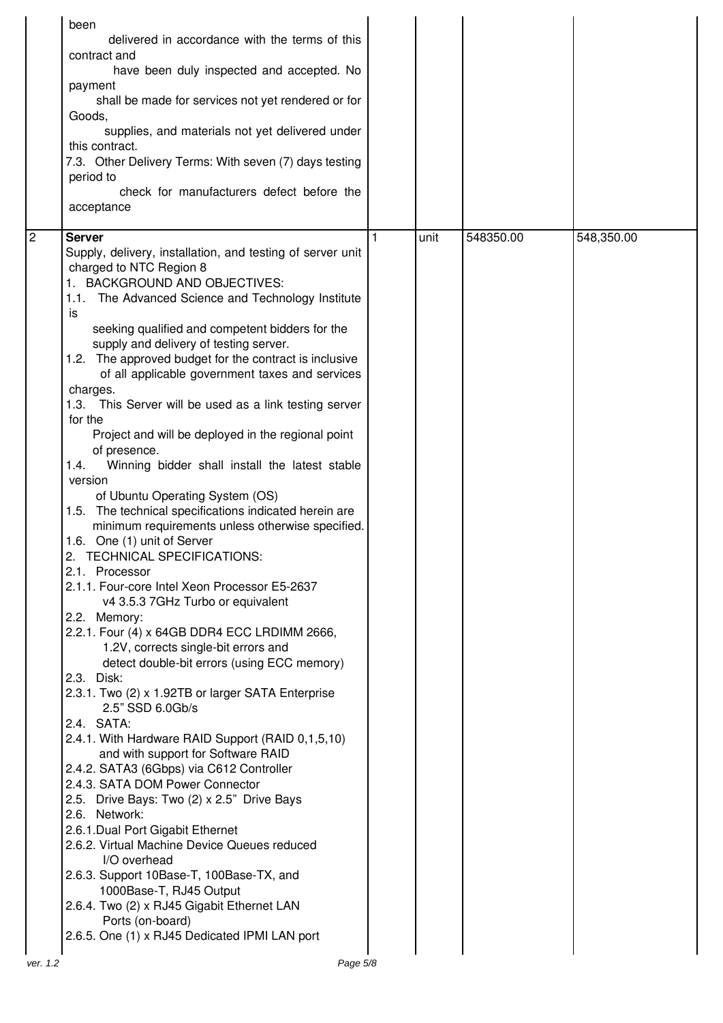|   | been<br>delivered in accordance with the terms of this<br>contract and<br>have been duly inspected and accepted. No<br>payment<br>shall be made for services not yet rendered or for<br>Goods,<br>supplies, and materials not yet delivered under<br>this contract.<br>7.3. Other Delivery Terms: With seven (7) days testing<br>period to<br>check for manufacturers defect before the<br>acceptance                                                                                                                                                                                                                                                                                                                                                                                                                                                                                                                                                                                                                                                                                                                                                                                                                                                                                                                                                                                                                                                                                                                                                                                                                                                                                                                                                                 |      |           |            |
|---|-----------------------------------------------------------------------------------------------------------------------------------------------------------------------------------------------------------------------------------------------------------------------------------------------------------------------------------------------------------------------------------------------------------------------------------------------------------------------------------------------------------------------------------------------------------------------------------------------------------------------------------------------------------------------------------------------------------------------------------------------------------------------------------------------------------------------------------------------------------------------------------------------------------------------------------------------------------------------------------------------------------------------------------------------------------------------------------------------------------------------------------------------------------------------------------------------------------------------------------------------------------------------------------------------------------------------------------------------------------------------------------------------------------------------------------------------------------------------------------------------------------------------------------------------------------------------------------------------------------------------------------------------------------------------------------------------------------------------------------------------------------------------|------|-----------|------------|
| 2 | <b>Server</b><br>Supply, delivery, installation, and testing of server unit<br>charged to NTC Region 8<br>1. BACKGROUND AND OBJECTIVES:<br>1.1. The Advanced Science and Technology Institute<br>is<br>seeking qualified and competent bidders for the<br>supply and delivery of testing server.<br>1.2. The approved budget for the contract is inclusive<br>of all applicable government taxes and services<br>charges.<br>1.3. This Server will be used as a link testing server<br>for the<br>Project and will be deployed in the regional point<br>of presence.<br>1.4.<br>Winning bidder shall install the latest stable<br>version<br>of Ubuntu Operating System (OS)<br>1.5. The technical specifications indicated herein are<br>minimum requirements unless otherwise specified.<br>1.6. One (1) unit of Server<br>2. TECHNICAL SPECIFICATIONS:<br>2.1. Processor<br>2.1.1. Four-core Intel Xeon Processor E5-2637<br>v4 3.5.3 7GHz Turbo or equivalent<br>2.2. Memory:<br>2.2.1. Four (4) x 64GB DDR4 ECC LRDIMM 2666,<br>1.2V, corrects single-bit errors and<br>detect double-bit errors (using ECC memory)<br>2.3. Disk:<br>2.3.1. Two (2) x 1.92TB or larger SATA Enterprise<br>2.5" SSD 6.0Gb/s<br>2.4. SATA:<br>2.4.1. With Hardware RAID Support (RAID 0,1,5,10)<br>and with support for Software RAID<br>2.4.2. SATA3 (6Gbps) via C612 Controller<br>2.4.3. SATA DOM Power Connector<br>2.5. Drive Bays: Two (2) x 2.5" Drive Bays<br>2.6. Network:<br>2.6.1. Dual Port Gigabit Ethernet<br>2.6.2. Virtual Machine Device Queues reduced<br>I/O overhead<br>2.6.3. Support 10Base-T, 100Base-TX, and<br>1000Base-T, RJ45 Output<br>2.6.4. Two (2) x RJ45 Gigabit Ethernet LAN<br>Ports (on-board)<br>2.6.5. One (1) x RJ45 Dedicated IPMI LAN port | unit | 548350.00 | 548,350.00 |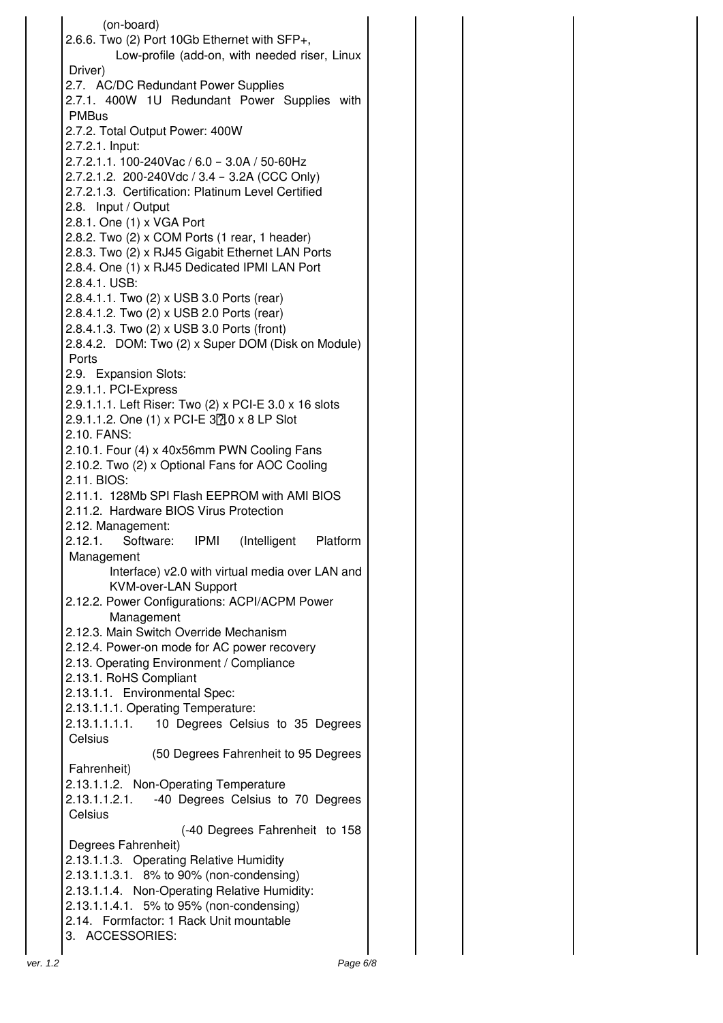(on-board) 2.6.6. Two (2) Port 10Gb Ethernet with SFP+, Low-profile (add-on, with needed riser, Linux Driver) 2.7. AC/DC Redundant Power Supplies 2.7.1. 400W 1U Redundant Power Supplies with PMBus 2.7.2. Total Output Power: 400W 2.7.2.1. Input: 2.7.2.1.1. 100-240Vac / 6.0 – 3.0A / 50-60Hz 2.7.2.1.2. 200-240Vdc / 3.4 – 3.2A (CCC Only) 2.7.2.1.3. Certification: Platinum Level Certified 2.8. Input / Output 2.8.1. One (1) x VGA Port 2.8.2. Two (2) x COM Ports (1 rear, 1 header) 2.8.3. Two (2) x RJ45 Gigabit Ethernet LAN Ports 2.8.4. One (1) x RJ45 Dedicated IPMI LAN Port 2.8.4.1. USB: 2.8.4.1.1. Two (2) x USB 3.0 Ports (rear) 2.8.4.1.2. Two (2) x USB 2.0 Ports (rear) 2.8.4.1.3. Two (2) x USB 3.0 Ports (front) 2.8.4.2. DOM: Two (2) x Super DOM (Disk on Module) Ports 2.9. Expansion Slots: 2.9.1.1. PCI-Express 2.9.1.1.1. Left Riser: Two (2) x PCI-E 3.0 x 16 slots  $2.9.1.1.2$ . One (1) x PCI-E  $37.0 \times 8$  LP Slot 2.10. FANS: 2.10.1. Four (4) x 40x56mm PWN Cooling Fans 2.10.2. Two (2) x Optional Fans for AOC Cooling 2.11. BIOS: 2.11.1. 128Mb SPI Flash EEPROM with AMI BIOS 2.11.2. Hardware BIOS Virus Protection 2.12. Management: 2.12.1. Software: IPMI (Intelligent Platform Management Interface) v2.0 with virtual media over LAN and KVM-over-LAN Support 2.12.2. Power Configurations: ACPI/ACPM Power Management 2.12.3. Main Switch Override Mechanism 2.12.4. Power-on mode for AC power recovery 2.13. Operating Environment / Compliance 2.13.1. RoHS Compliant 2.13.1.1. Environmental Spec: 2.13.1.1.1. Operating Temperature: 2.13.1.1.1.1. 10 Degrees Celsius to 35 Degrees **Celsius** (50 Degrees Fahrenheit to 95 Degrees Fahrenheit) 2.13.1.1.2. Non-Operating Temperature 2.13.1.1.2.1. -40 Degrees Celsius to 70 Degrees **Celsius** (-40 Degrees Fahrenheit to 158 Degrees Fahrenheit) 2.13.1.1.3. Operating Relative Humidity 2.13.1.1.3.1. 8% to 90% (non-condensing) 2.13.1.1.4. Non-Operating Relative Humidity: 2.13.1.1.4.1. 5% to 95% (non-condensing) 2.14. Formfactor: 1 Rack Unit mountable 3. ACCESSORIES: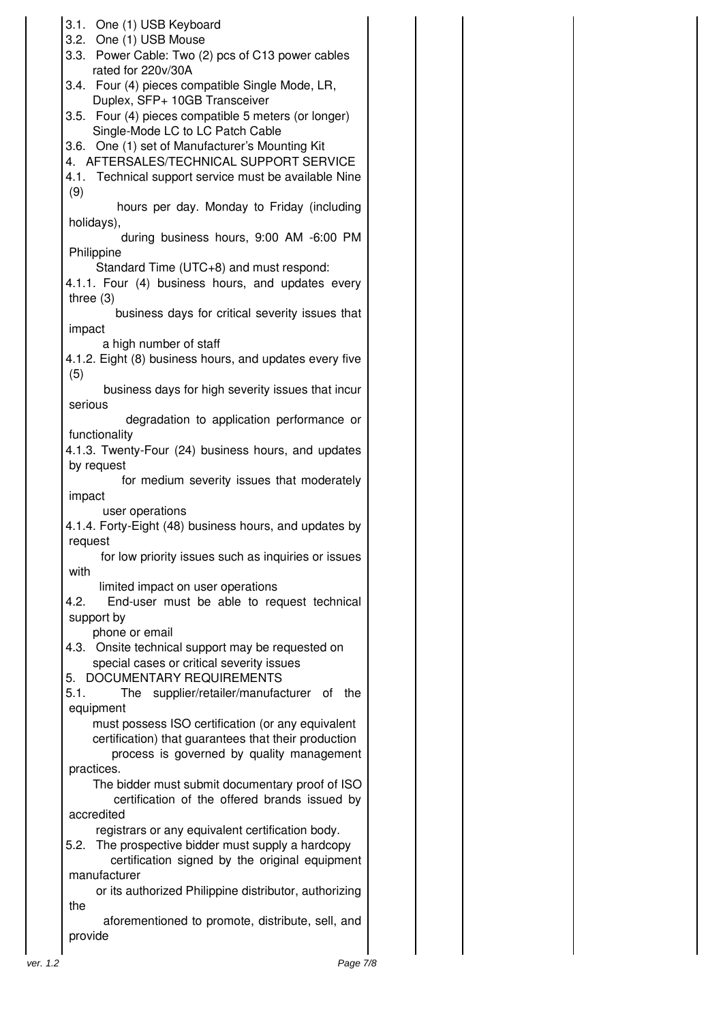|          | 3.1. One (1) USB Keyboard<br>3.2. One (1) USB Mouse<br>3.3. Power Cable: Two (2) pcs of C13 power cables<br>rated for 220v/30A<br>3.4. Four (4) pieces compatible Single Mode, LR,<br>Duplex, SFP+ 10GB Transceiver<br>3.5. Four (4) pieces compatible 5 meters (or longer) |  |  |
|----------|-----------------------------------------------------------------------------------------------------------------------------------------------------------------------------------------------------------------------------------------------------------------------------|--|--|
|          | Single-Mode LC to LC Patch Cable<br>3.6. One (1) set of Manufacturer's Mounting Kit<br>4. AFTERSALES/TECHNICAL SUPPORT SERVICE<br>4.1. Technical support service must be available Nine<br>(9)                                                                              |  |  |
|          | hours per day. Monday to Friday (including<br>holidays),<br>during business hours, 9:00 AM -6:00 PM<br>Philippine                                                                                                                                                           |  |  |
|          | Standard Time (UTC+8) and must respond:<br>4.1.1. Four (4) business hours, and updates every<br>three $(3)$<br>business days for critical severity issues that                                                                                                              |  |  |
|          | impact<br>a high number of staff<br>4.1.2. Eight (8) business hours, and updates every five<br>(5)<br>business days for high severity issues that incur                                                                                                                     |  |  |
|          | serious<br>degradation to application performance or<br>functionality                                                                                                                                                                                                       |  |  |
|          | 4.1.3. Twenty-Four (24) business hours, and updates<br>by request<br>for medium severity issues that moderately                                                                                                                                                             |  |  |
|          | impact<br>user operations<br>4.1.4. Forty-Eight (48) business hours, and updates by<br>request                                                                                                                                                                              |  |  |
|          | for low priority issues such as inquiries or issues<br>with<br>limited impact on user operations                                                                                                                                                                            |  |  |
|          | End-user must be able to request technical<br>4.2.<br>support by<br>phone or email                                                                                                                                                                                          |  |  |
|          | 4.3. Onsite technical support may be requested on<br>special cases or critical severity issues<br>5. DOCUMENTARY REQUIREMENTS<br>5.1.<br>The supplier/retailer/manufacturer of the                                                                                          |  |  |
|          | equipment<br>must possess ISO certification (or any equivalent<br>certification) that guarantees that their production<br>process is governed by quality management                                                                                                         |  |  |
|          | practices.<br>The bidder must submit documentary proof of ISO<br>certification of the offered brands issued by<br>accredited                                                                                                                                                |  |  |
|          | registrars or any equivalent certification body.<br>The prospective bidder must supply a hardcopy<br>5.2.<br>certification signed by the original equipment                                                                                                                 |  |  |
|          | manufacturer<br>or its authorized Philippine distributor, authorizing<br>the<br>aforementioned to promote, distribute, sell, and                                                                                                                                            |  |  |
| ver. 1.2 | provide<br>Page 7/8                                                                                                                                                                                                                                                         |  |  |